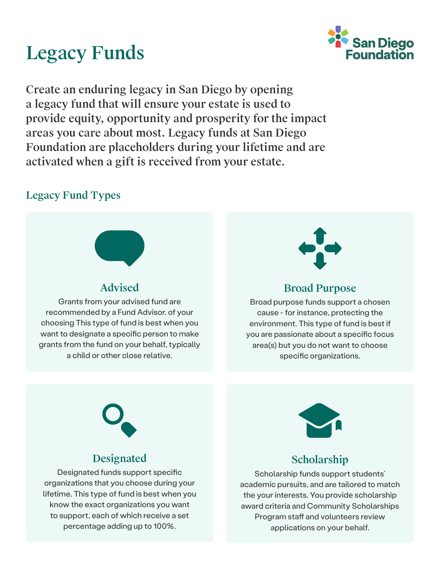# Legacy Funds



Create an enduring legacy in San Diego by opening a legacy fund that will ensure your estate is used to provide equity, opportunity and prosperity for the impact areas you care about most. Legacy funds at San Diego Foundation are placeholders during your lifetime and are activated when a gift is received from your estate.

### Legacy Fund Types



### Advised

Grants from your advised fund are recommended by a Fund Advisor. of your choosing This type of fund is best when you want to designate a specific person to make grants from the fund on your behalf, typically a child or other close relative.



#### Broad Purpose

Broad purpose funds support a chosen cause - for instance, protecting the environment. This type of fund is best if you are passionate about a specific focus area(s) but you do not want to choose specific organizations.



#### Designated

Designated funds support specific organizations that you choose during your lifetime. This type of fund is best when you know the exact organizations you want to support, each of which receive a set percentage adding up to 100%.



### Scholarship

Scholarship funds support students' academic pursuits, and are tailored to match the your interests. You provide scholarship award criteria and Community Scholarships Program staff and volunteers review applications on your behalf.